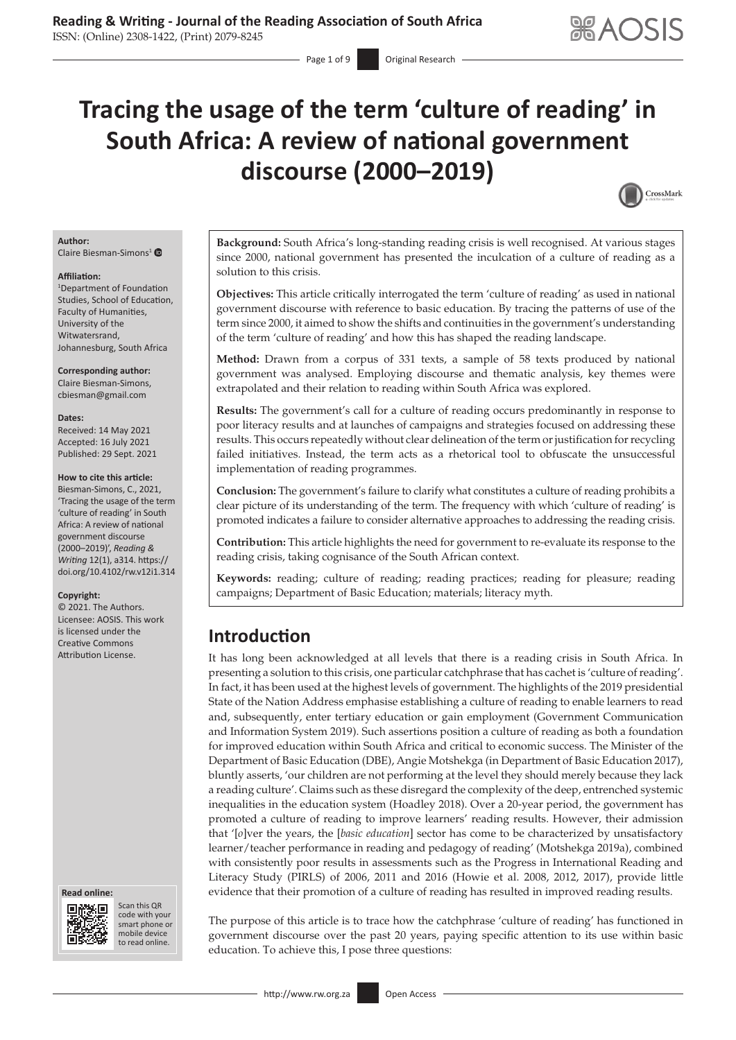# **Tracing the usage of the term 'culture of reading' in South Africa: A review of national government discourse (2000–2019)**

Page 1 of 9 **Conservery** Original Research



#### **Author:**

Claire Biesman-Simons<sup>[1](https://orcid.org/0000-0002-4801-4140)</sup>

#### **Affiliation:**

1 Department of Foundation Studies, School of Education, Faculty of Humanities, University of the Witwatersrand, Johannesburg, South Africa

**Corresponding author:** Claire Biesman-Simons, [cbiesman@gmail.com](mailto:cbiesman@gmail.com)

#### **Dates:**

Received: 14 May 2021 Accepted: 16 July 2021 Published: 29 Sept. 2021

#### **How to cite this article:**

Biesman-Simons, C., 2021, 'Tracing the usage of the term 'culture of reading' in South Africa: A review of national government discourse (2000–2019)', *Reading & Writing* 12(1), a314. [https://](https://doi.org/10.4102/rw.v12i1.314) [doi.org/10.4102/rw.v12i1.314](https://doi.org/10.4102/rw.v12i1.314)

#### **Copyright:**

© 2021. The Authors. Licensee: AOSIS. This work is licensed under the Creative Commons Attribution License.





Scan this QR code with your Scan this QR<br>code with your<br>smart phone or<br>mobile device mobile device to read online. to read online.

**Background:** South Africa's long-standing reading crisis is well recognised. At various stages since 2000, national government has presented the inculcation of a culture of reading as a solution to this crisis.

**Objectives:** This article critically interrogated the term 'culture of reading' as used in national government discourse with reference to basic education. By tracing the patterns of use of the term since 2000, it aimed to show the shifts and continuities in the government's understanding of the term 'culture of reading' and how this has shaped the reading landscape.

**Method:** Drawn from a corpus of 331 texts, a sample of 58 texts produced by national government was analysed. Employing discourse and thematic analysis, key themes were extrapolated and their relation to reading within South Africa was explored.

**Results:** The government's call for a culture of reading occurs predominantly in response to poor literacy results and at launches of campaigns and strategies focused on addressing these results. This occurs repeatedly without clear delineation of the term or justification for recycling failed initiatives. Instead, the term acts as a rhetorical tool to obfuscate the unsuccessful implementation of reading programmes.

**Conclusion:** The government's failure to clarify what constitutes a culture of reading prohibits a clear picture of its understanding of the term. The frequency with which 'culture of reading' is promoted indicates a failure to consider alternative approaches to addressing the reading crisis.

**Contribution:** This article highlights the need for government to re-evaluate its response to the reading crisis, taking cognisance of the South African context.

**Keywords:** reading; culture of reading; reading practices; reading for pleasure; reading campaigns; Department of Basic Education; materials; literacy myth.

# **Introduction**

It has long been acknowledged at all levels that there is a reading crisis in South Africa. In presenting a solution to this crisis, one particular catchphrase that has cachet is 'culture of reading'. In fact, it has been used at the highest levels of government. The highlights of the 2019 presidential State of the Nation Address emphasise establishing a culture of reading to enable learners to read and, subsequently, enter tertiary education or gain employment (Government Communication and Information System 2019). Such assertions position a culture of reading as both a foundation for improved education within South Africa and critical to economic success. The Minister of the Department of Basic Education (DBE), Angie Motshekga (in Department of Basic Education 2017), bluntly asserts, 'our children are not performing at the level they should merely because they lack a reading culture'. Claims such as these disregard the complexity of the deep, entrenched systemic inequalities in the education system (Hoadley 2018). Over a 20-year period, the government has promoted a culture of reading to improve learners' reading results. However, their admission that '[*o*]ver the years, the [*basic education*] sector has come to be characterized by unsatisfactory learner/teacher performance in reading and pedagogy of reading' (Motshekga 2019a), combined with consistently poor results in assessments such as the Progress in International Reading and Literacy Study (PIRLS) of 2006, 2011 and 2016 (Howie et al. 2008, 2012, 2017), provide little evidence that their promotion of a culture of reading has resulted in improved reading results.

The purpose of this article is to trace how the catchphrase 'culture of reading' has functioned in government discourse over the past 20 years, paying specific attention to its use within basic education. To achieve this, I pose three questions: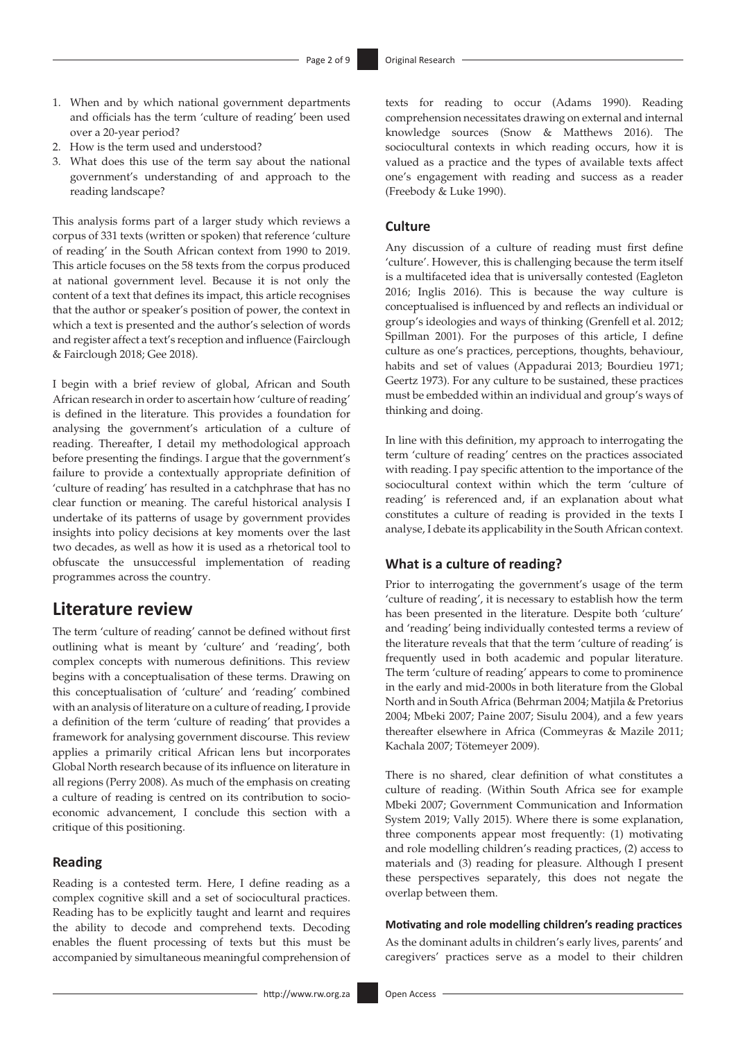- 1. When and by which national government departments and officials has the term 'culture of reading' been used over a 20-year period?
- 2. How is the term used and understood?
- 3. What does this use of the term say about the national government's understanding of and approach to the reading landscape?

This analysis forms part of a larger study which reviews a corpus of 331 texts (written or spoken) that reference 'culture of reading' in the South African context from 1990 to 2019. This article focuses on the 58 texts from the corpus produced at national government level. Because it is not only the content of a text that defines its impact, this article recognises that the author or speaker's position of power, the context in which a text is presented and the author's selection of words and register affect a text's reception and influence (Fairclough & Fairclough 2018; Gee 2018).

I begin with a brief review of global, African and South African research in order to ascertain how 'culture of reading' is defined in the literature. This provides a foundation for analysing the government's articulation of a culture of reading. Thereafter, I detail my methodological approach before presenting the findings. I argue that the government's failure to provide a contextually appropriate definition of 'culture of reading' has resulted in a catchphrase that has no clear function or meaning. The careful historical analysis I undertake of its patterns of usage by government provides insights into policy decisions at key moments over the last two decades, as well as how it is used as a rhetorical tool to obfuscate the unsuccessful implementation of reading programmes across the country.

### **Literature review**

The term 'culture of reading' cannot be defined without first outlining what is meant by 'culture' and 'reading', both complex concepts with numerous definitions. This review begins with a conceptualisation of these terms. Drawing on this conceptualisation of 'culture' and 'reading' combined with an analysis of literature on a culture of reading, I provide a definition of the term 'culture of reading' that provides a framework for analysing government discourse. This review applies a primarily critical African lens but incorporates Global North research because of its influence on literature in all regions (Perry 2008). As much of the emphasis on creating a culture of reading is centred on its contribution to socioeconomic advancement, I conclude this section with a critique of this positioning.

#### **Reading**

Reading is a contested term. Here, I define reading as a complex cognitive skill and a set of sociocultural practices. Reading has to be explicitly taught and learnt and requires the ability to decode and comprehend texts. Decoding enables the fluent processing of texts but this must be accompanied by simultaneous meaningful comprehension of texts for reading to occur (Adams 1990). Reading comprehension necessitates drawing on external and internal knowledge sources (Snow & Matthews 2016). The sociocultural contexts in which reading occurs, how it is valued as a practice and the types of available texts affect one's engagement with reading and success as a reader (Freebody & Luke 1990).

#### **Culture**

Any discussion of a culture of reading must first define 'culture'. However, this is challenging because the term itself is a multifaceted idea that is universally contested (Eagleton 2016; Inglis 2016). This is because the way culture is conceptualised is influenced by and reflects an individual or group's ideologies and ways of thinking (Grenfell et al. 2012; Spillman 2001). For the purposes of this article, I define culture as one's practices, perceptions, thoughts, behaviour, habits and set of values (Appadurai 2013; Bourdieu 1971; Geertz 1973). For any culture to be sustained, these practices must be embedded within an individual and group's ways of thinking and doing.

In line with this definition, my approach to interrogating the term 'culture of reading' centres on the practices associated with reading. I pay specific attention to the importance of the sociocultural context within which the term 'culture of reading' is referenced and, if an explanation about what constitutes a culture of reading is provided in the texts I analyse, I debate its applicability in the South African context.

#### **What is a culture of reading?**

Prior to interrogating the government's usage of the term 'culture of reading', it is necessary to establish how the term has been presented in the literature. Despite both 'culture' and 'reading' being individually contested terms a review of the literature reveals that that the term 'culture of reading' is frequently used in both academic and popular literature. The term 'culture of reading' appears to come to prominence in the early and mid-2000s in both literature from the Global North and in South Africa (Behrman 2004; Matjila & Pretorius 2004; Mbeki 2007; Paine 2007; Sisulu 2004), and a few years thereafter elsewhere in Africa (Commeyras & Mazile 2011; Kachala 2007; Tötemeyer 2009).

There is no shared, clear definition of what constitutes a culture of reading. (Within South Africa see for example Mbeki 2007; Government Communication and Information System 2019; Vally 2015). Where there is some explanation, three components appear most frequently: (1) motivating and role modelling children's reading practices, (2) access to materials and (3) reading for pleasure. Although I present these perspectives separately, this does not negate the overlap between them.

#### **Motivating and role modelling children's reading practices**

As the dominant adults in children's early lives, parents' and caregivers' practices serve as a model to their children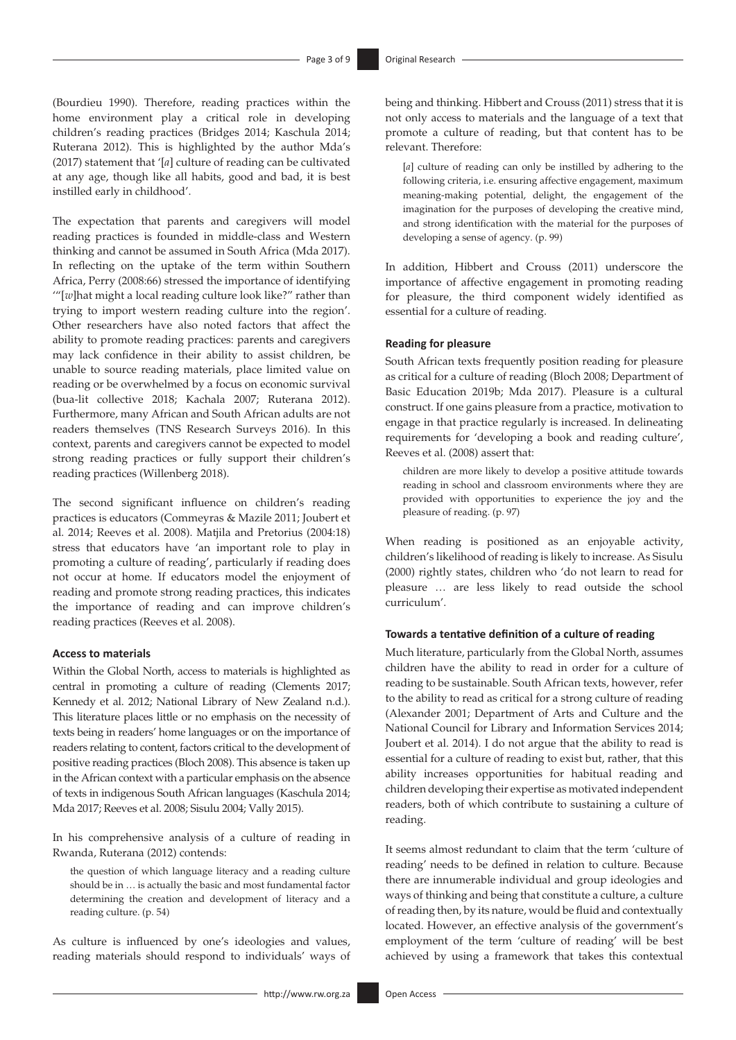(Bourdieu 1990). Therefore, reading practices within the home environment play a critical role in developing children's reading practices (Bridges 2014; Kaschula 2014; Ruterana 2012). This is highlighted by the author Mda's (2017) statement that '[*a*] culture of reading can be cultivated at any age, though like all habits, good and bad, it is best instilled early in childhood'.

The expectation that parents and caregivers will model reading practices is founded in middle-class and Western thinking and cannot be assumed in South Africa (Mda 2017). In reflecting on the uptake of the term within Southern Africa, Perry (2008:66) stressed the importance of identifying '"[*w*]hat might a local reading culture look like?" rather than trying to import western reading culture into the region'. Other researchers have also noted factors that affect the ability to promote reading practices: parents and caregivers may lack confidence in their ability to assist children, be unable to source reading materials, place limited value on reading or be overwhelmed by a focus on economic survival (bua-lit collective 2018; Kachala 2007; Ruterana 2012). Furthermore, many African and South African adults are not readers themselves (TNS Research Surveys 2016). In this context, parents and caregivers cannot be expected to model strong reading practices or fully support their children's reading practices (Willenberg 2018).

The second significant influence on children's reading practices is educators (Commeyras & Mazile 2011; Joubert et al. 2014; Reeves et al. 2008). Matjila and Pretorius (2004:18) stress that educators have 'an important role to play in promoting a culture of reading', particularly if reading does not occur at home. If educators model the enjoyment of reading and promote strong reading practices, this indicates the importance of reading and can improve children's reading practices (Reeves et al. 2008).

#### **Access to materials**

Within the Global North, access to materials is highlighted as central in promoting a culture of reading (Clements 2017; Kennedy et al. 2012; National Library of New Zealand n.d.). This literature places little or no emphasis on the necessity of texts being in readers' home languages or on the importance of readers relating to content, factors critical to the development of positive reading practices (Bloch 2008). This absence is taken up in the African context with a particular emphasis on the absence of texts in indigenous South African languages (Kaschula 2014; Mda 2017; Reeves et al. 2008; Sisulu 2004; Vally 2015).

In his comprehensive analysis of a culture of reading in Rwanda, Ruterana (2012) contends:

the question of which language literacy and a reading culture should be in … is actually the basic and most fundamental factor determining the creation and development of literacy and a reading culture. (p. 54)

As culture is influenced by one's ideologies and values, reading materials should respond to individuals' ways of being and thinking. Hibbert and Crouss (2011) stress that it is not only access to materials and the language of a text that promote a culture of reading, but that content has to be relevant. Therefore:

[*a*] culture of reading can only be instilled by adhering to the following criteria, i.e. ensuring affective engagement, maximum meaning-making potential, delight, the engagement of the imagination for the purposes of developing the creative mind, and strong identification with the material for the purposes of developing a sense of agency. (p. 99)

In addition, Hibbert and Crouss (2011) underscore the importance of affective engagement in promoting reading for pleasure, the third component widely identified as essential for a culture of reading.

#### **Reading for pleasure**

South African texts frequently position reading for pleasure as critical for a culture of reading (Bloch 2008; Department of Basic Education 2019b; Mda 2017). Pleasure is a cultural construct. If one gains pleasure from a practice, motivation to engage in that practice regularly is increased. In delineating requirements for 'developing a book and reading culture', Reeves et al. (2008) assert that:

children are more likely to develop a positive attitude towards reading in school and classroom environments where they are provided with opportunities to experience the joy and the pleasure of reading. (p. 97)

When reading is positioned as an enjoyable activity, children's likelihood of reading is likely to increase. As Sisulu (2000) rightly states, children who 'do not learn to read for pleasure … are less likely to read outside the school curriculum'.

#### **Towards a tentative definition of a culture of reading**

Much literature, particularly from the Global North, assumes children have the ability to read in order for a culture of reading to be sustainable. South African texts, however, refer to the ability to read as critical for a strong culture of reading (Alexander 2001; Department of Arts and Culture and the National Council for Library and Information Services 2014; Joubert et al. 2014). I do not argue that the ability to read is essential for a culture of reading to exist but, rather, that this ability increases opportunities for habitual reading and children developing their expertise as motivated independent readers, both of which contribute to sustaining a culture of reading.

It seems almost redundant to claim that the term 'culture of reading' needs to be defined in relation to culture. Because there are innumerable individual and group ideologies and ways of thinking and being that constitute a culture, a culture of reading then, by its nature, would be fluid and contextually located. However, an effective analysis of the government's employment of the term 'culture of reading' will be best achieved by using a framework that takes this contextual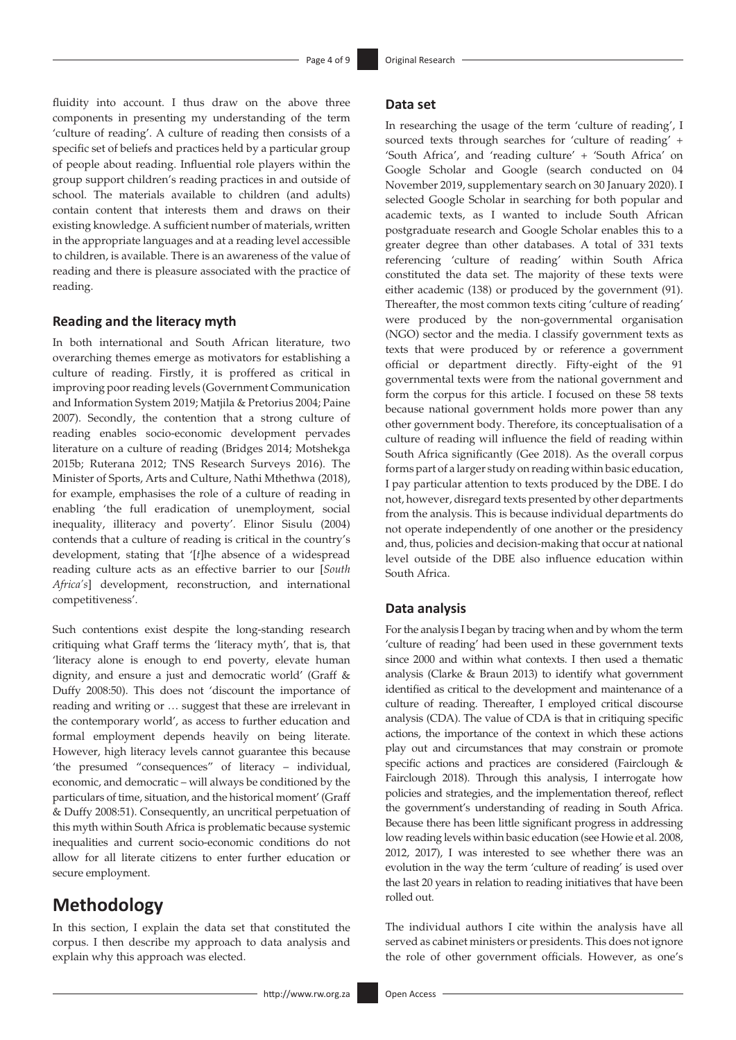fluidity into account. I thus draw on the above three components in presenting my understanding of the term 'culture of reading'. A culture of reading then consists of a specific set of beliefs and practices held by a particular group of people about reading. Influential role players within the group support children's reading practices in and outside of school. The materials available to children (and adults) contain content that interests them and draws on their existing knowledge. A sufficient number of materials, written in the appropriate languages and at a reading level accessible to children, is available. There is an awareness of the value of reading and there is pleasure associated with the practice of reading.

#### **Reading and the literacy myth**

In both international and South African literature, two overarching themes emerge as motivators for establishing a culture of reading. Firstly, it is proffered as critical in improving poor reading levels (Government Communication and Information System 2019; Matjila & Pretorius 2004; Paine 2007). Secondly, the contention that a strong culture of reading enables socio-economic development pervades literature on a culture of reading (Bridges 2014; Motshekga 2015b; Ruterana 2012; TNS Research Surveys 2016). The Minister of Sports, Arts and Culture, Nathi Mthethwa (2018), for example, emphasises the role of a culture of reading in enabling 'the full eradication of unemployment, social inequality, illiteracy and poverty'. Elinor Sisulu (2004) contends that a culture of reading is critical in the country's development, stating that '[*t*]he absence of a widespread reading culture acts as an effective barrier to our [*South Africa's*] development, reconstruction, and international competitiveness'.

Such contentions exist despite the long-standing research critiquing what Graff terms the 'literacy myth', that is, that 'literacy alone is enough to end poverty, elevate human dignity, and ensure a just and democratic world' (Graff & Duffy 2008:50). This does not 'discount the importance of reading and writing or … suggest that these are irrelevant in the contemporary world', as access to further education and formal employment depends heavily on being literate. However, high literacy levels cannot guarantee this because 'the presumed "consequences" of literacy – individual, economic, and democratic – will always be conditioned by the particulars of time, situation, and the historical moment' (Graff & Duffy 2008:51). Consequently, an uncritical perpetuation of this myth within South Africa is problematic because systemic inequalities and current socio-economic conditions do not allow for all literate citizens to enter further education or secure employment.

# **Methodology**

In this section, I explain the data set that constituted the corpus. I then describe my approach to data analysis and explain why this approach was elected.

#### **Data set**

In researching the usage of the term 'culture of reading', I sourced texts through searches for 'culture of reading' + 'South Africa', and 'reading culture' + 'South Africa' on Google Scholar and Google (search conducted on 04 November 2019, supplementary search on 30 January 2020). I selected Google Scholar in searching for both popular and academic texts, as I wanted to include South African postgraduate research and Google Scholar enables this to a greater degree than other databases. A total of 331 texts referencing 'culture of reading' within South Africa constituted the data set. The majority of these texts were either academic (138) or produced by the government (91). Thereafter, the most common texts citing 'culture of reading' were produced by the non-governmental organisation (NGO) sector and the media. I classify government texts as texts that were produced by or reference a government official or department directly. Fifty-eight of the 91 governmental texts were from the national government and form the corpus for this article. I focused on these 58 texts because national government holds more power than any other government body. Therefore, its conceptualisation of a culture of reading will influence the field of reading within South Africa significantly (Gee 2018). As the overall corpus forms part of a larger study on reading within basic education, I pay particular attention to texts produced by the DBE. I do not, however, disregard texts presented by other departments from the analysis. This is because individual departments do not operate independently of one another or the presidency and, thus, policies and decision-making that occur at national level outside of the DBE also influence education within South Africa.

#### **Data analysis**

For the analysis I began by tracing when and by whom the term 'culture of reading' had been used in these government texts since 2000 and within what contexts. I then used a thematic analysis (Clarke & Braun 2013) to identify what government identified as critical to the development and maintenance of a culture of reading. Thereafter, I employed critical discourse analysis (CDA). The value of CDA is that in critiquing specific actions, the importance of the context in which these actions play out and circumstances that may constrain or promote specific actions and practices are considered (Fairclough & Fairclough 2018). Through this analysis, I interrogate how policies and strategies, and the implementation thereof, reflect the government's understanding of reading in South Africa. Because there has been little significant progress in addressing low reading levels within basic education (see Howie et al. 2008, 2012, 2017), I was interested to see whether there was an evolution in the way the term 'culture of reading' is used over the last 20 years in relation to reading initiatives that have been rolled out.

The individual authors I cite within the analysis have all served as cabinet ministers or presidents. This does not ignore the role of other government officials. However, as one's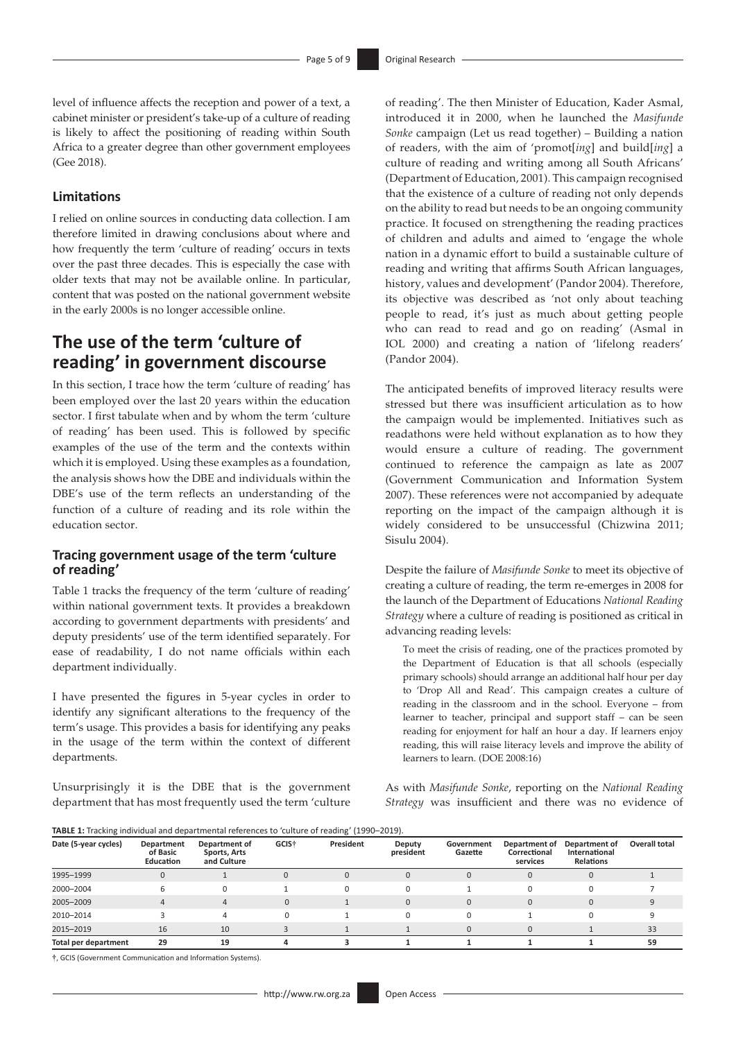level of influence affects the reception and power of a text, a cabinet minister or president's take-up of a culture of reading is likely to affect the positioning of reading within South Africa to a greater degree than other government employees (Gee 2018).

#### **Limitations**

I relied on online sources in conducting data collection. I am therefore limited in drawing conclusions about where and how frequently the term 'culture of reading' occurs in texts over the past three decades. This is especially the case with older texts that may not be available online. In particular, content that was posted on the national government website in the early 2000s is no longer accessible online.

# **The use of the term 'culture of reading' in government discourse**

In this section, I trace how the term 'culture of reading' has been employed over the last 20 years within the education sector. I first tabulate when and by whom the term 'culture of reading' has been used. This is followed by specific examples of the use of the term and the contexts within which it is employed. Using these examples as a foundation, the analysis shows how the DBE and individuals within the DBE's use of the term reflects an understanding of the function of a culture of reading and its role within the education sector.

#### **Tracing government usage of the term 'culture of reading'**

Table 1 tracks the frequency of the term 'culture of reading' within national government texts. It provides a breakdown according to government departments with presidents' and deputy presidents' use of the term identified separately. For ease of readability, I do not name officials within each department individually.

I have presented the figures in 5-year cycles in order to identify any significant alterations to the frequency of the term's usage. This provides a basis for identifying any peaks in the usage of the term within the context of different departments.

Unsurprisingly it is the DBE that is the government department that has most frequently used the term 'culture

of reading'. The then Minister of Education, Kader Asmal, introduced it in 2000, when he launched the *Masifunde Sonke* campaign (Let us read together) – Building a nation of readers, with the aim of 'promot[*ing*] and build[*ing*] a culture of reading and writing among all South Africans' (Department of Education, 2001). This campaign recognised that the existence of a culture of reading not only depends on the ability to read but needs to be an ongoing community practice. It focused on strengthening the reading practices of children and adults and aimed to 'engage the whole nation in a dynamic effort to build a sustainable culture of reading and writing that affirms South African languages, history, values and development' (Pandor 2004). Therefore, its objective was described as 'not only about teaching people to read, it's just as much about getting people who can read to read and go on reading' (Asmal in IOL 2000) and creating a nation of 'lifelong readers' (Pandor 2004).

The anticipated benefits of improved literacy results were stressed but there was insufficient articulation as to how the campaign would be implemented. Initiatives such as readathons were held without explanation as to how they would ensure a culture of reading. The government continued to reference the campaign as late as 2007 (Government Communication and Information System 2007). These references were not accompanied by adequate reporting on the impact of the campaign although it is widely considered to be unsuccessful (Chizwina 2011; Sisulu 2004).

Despite the failure of *Masifunde Sonke* to meet its objective of creating a culture of reading, the term re-emerges in 2008 for the launch of the Department of Educations *National Reading Strategy* where a culture of reading is positioned as critical in advancing reading levels:

To meet the crisis of reading, one of the practices promoted by the Department of Education is that all schools (especially primary schools) should arrange an additional half hour per day to 'Drop All and Read'. This campaign creates a culture of reading in the classroom and in the school. Everyone – from learner to teacher, principal and support staff – can be seen reading for enjoyment for half an hour a day. If learners enjoy reading, this will raise literacy levels and improve the ability of learners to learn. (DOE 2008:16)

As with *Masifunde Sonke*, reporting on the *National Reading Strategy* was insufficient and there was no evidence of

**TABLE 1:** Tracking individual and departmental references to 'culture of reading' (1990–2019).

| Date (5-year cycles) | Department<br>of Basic<br><b>Education</b> | Department of<br>Sports, Arts<br>and Culture | GCIS <sup>+</sup> | President | Deputy<br>president | Government<br>Gazette | Department of<br>Correctional<br>services | Department of<br>International<br><b>Relations</b> | Overall total |
|----------------------|--------------------------------------------|----------------------------------------------|-------------------|-----------|---------------------|-----------------------|-------------------------------------------|----------------------------------------------------|---------------|
| 1995-1999            | $\Omega$                                   |                                              | $\Omega$          | 0         | $\mathbf{0}$        | O                     |                                           |                                                    |               |
| 2000-2004            |                                            | 0                                            |                   |           | $\Omega$            |                       |                                           |                                                    |               |
| 2005-2009            |                                            | 4                                            |                   |           | $\mathbf{0}$        | 0                     | $\Omega$                                  |                                                    |               |
| 2010-2014            |                                            | 4                                            |                   |           | $\Omega$            | U                     |                                           |                                                    |               |
| 2015-2019            | 16                                         | 10                                           |                   |           |                     |                       |                                           |                                                    | 33            |
| Total per department | 29                                         | 19                                           |                   |           |                     |                       |                                           |                                                    | 59            |

**†**, GCIS (Government Communication and Information Systems).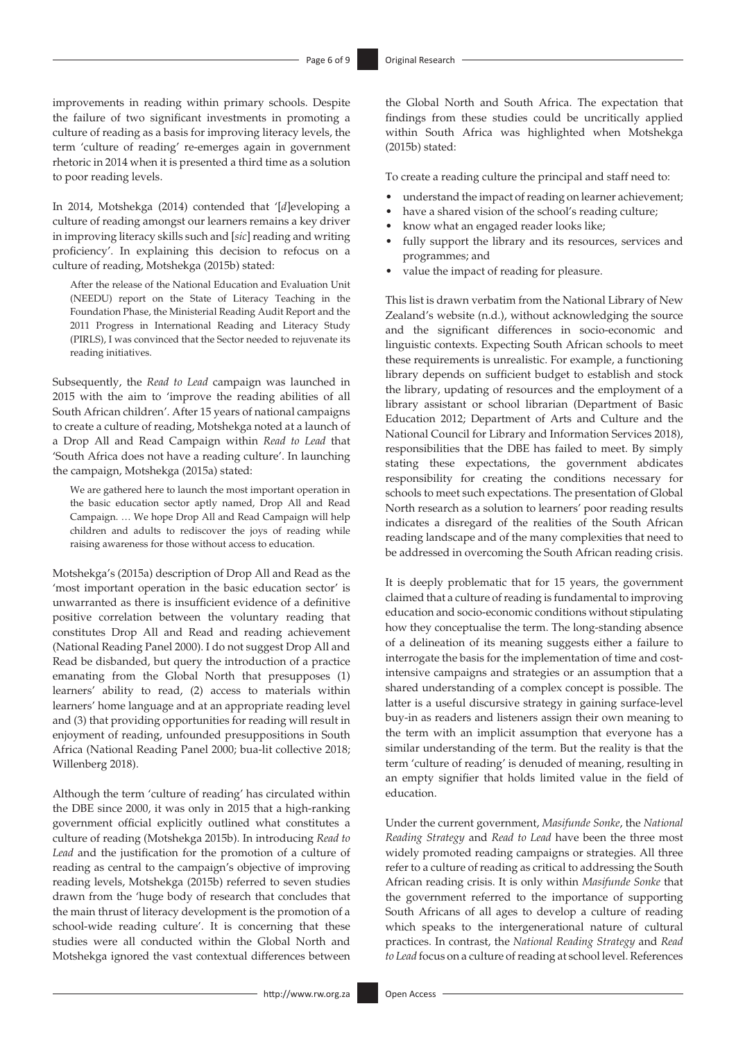improvements in reading within primary schools. Despite the failure of two significant investments in promoting a culture of reading as a basis for improving literacy levels, the term 'culture of reading' re-emerges again in government rhetoric in 2014 when it is presented a third time as a solution to poor reading levels.

In 2014, Motshekga (2014) contended that '[*d*]eveloping a culture of reading amongst our learners remains a key driver in improving literacy skills such and [*sic*] reading and writing proficiency'. In explaining this decision to refocus on a culture of reading, Motshekga (2015b) stated:

After the release of the National Education and Evaluation Unit (NEEDU) report on the State of Literacy Teaching in the Foundation Phase, the Ministerial Reading Audit Report and the 2011 Progress in International Reading and Literacy Study (PIRLS), I was convinced that the Sector needed to rejuvenate its reading initiatives.

Subsequently, the *Read to Lead* campaign was launched in 2015 with the aim to 'improve the reading abilities of all South African children'. After 15 years of national campaigns to create a culture of reading, Motshekga noted at a launch of a Drop All and Read Campaign within *Read to Lead* that 'South Africa does not have a reading culture'. In launching the campaign, Motshekga (2015a) stated:

We are gathered here to launch the most important operation in the basic education sector aptly named, Drop All and Read Campaign. … We hope Drop All and Read Campaign will help children and adults to rediscover the joys of reading while raising awareness for those without access to education.

Motshekga's (2015a) description of Drop All and Read as the 'most important operation in the basic education sector' is unwarranted as there is insufficient evidence of a definitive positive correlation between the voluntary reading that constitutes Drop All and Read and reading achievement (National Reading Panel 2000). I do not suggest Drop All and Read be disbanded, but query the introduction of a practice emanating from the Global North that presupposes (1) learners' ability to read, (2) access to materials within learners' home language and at an appropriate reading level and (3) that providing opportunities for reading will result in enjoyment of reading, unfounded presuppositions in South Africa (National Reading Panel 2000; bua-lit collective 2018; Willenberg 2018).

Although the term 'culture of reading' has circulated within the DBE since 2000, it was only in 2015 that a high-ranking government official explicitly outlined what constitutes a culture of reading (Motshekga 2015b). In introducing *Read to Lead* and the justification for the promotion of a culture of reading as central to the campaign's objective of improving reading levels, Motshekga (2015b) referred to seven studies drawn from the 'huge body of research that concludes that the main thrust of literacy development is the promotion of a school-wide reading culture'. It is concerning that these studies were all conducted within the Global North and Motshekga ignored the vast contextual differences between

the Global North and South Africa. The expectation that findings from these studies could be uncritically applied within South Africa was highlighted when Motshekga (2015b) stated:

To create a reading culture the principal and staff need to:

- understand the impact of reading on learner achievement;
- have a shared vision of the school's reading culture:
- know what an engaged reader looks like;
- fully support the library and its resources, services and programmes; and
- value the impact of reading for pleasure.

This list is drawn verbatim from the National Library of New Zealand's website (n.d.), without acknowledging the source and the significant differences in socio-economic and linguistic contexts. Expecting South African schools to meet these requirements is unrealistic. For example, a functioning library depends on sufficient budget to establish and stock the library, updating of resources and the employment of a library assistant or school librarian (Department of Basic Education 2012; Department of Arts and Culture and the National Council for Library and Information Services 2018), responsibilities that the DBE has failed to meet. By simply stating these expectations, the government abdicates responsibility for creating the conditions necessary for schools to meet such expectations. The presentation of Global North research as a solution to learners' poor reading results indicates a disregard of the realities of the South African reading landscape and of the many complexities that need to be addressed in overcoming the South African reading crisis.

It is deeply problematic that for 15 years, the government claimed that a culture of reading is fundamental to improving education and socio-economic conditions without stipulating how they conceptualise the term. The long-standing absence of a delineation of its meaning suggests either a failure to interrogate the basis for the implementation of time and costintensive campaigns and strategies or an assumption that a shared understanding of a complex concept is possible. The latter is a useful discursive strategy in gaining surface-level buy-in as readers and listeners assign their own meaning to the term with an implicit assumption that everyone has a similar understanding of the term. But the reality is that the term 'culture of reading' is denuded of meaning, resulting in an empty signifier that holds limited value in the field of education.

Under the current government, *Masifunde Sonke*, the *National Reading Strategy* and *Read to Lead* have been the three most widely promoted reading campaigns or strategies. All three refer to a culture of reading as critical to addressing the South African reading crisis. It is only within *Masifunde Sonke* that the government referred to the importance of supporting South Africans of all ages to develop a culture of reading which speaks to the intergenerational nature of cultural practices. In contrast, the *National Reading Strategy* and *Read to Lead* focus on a culture of reading at school level. References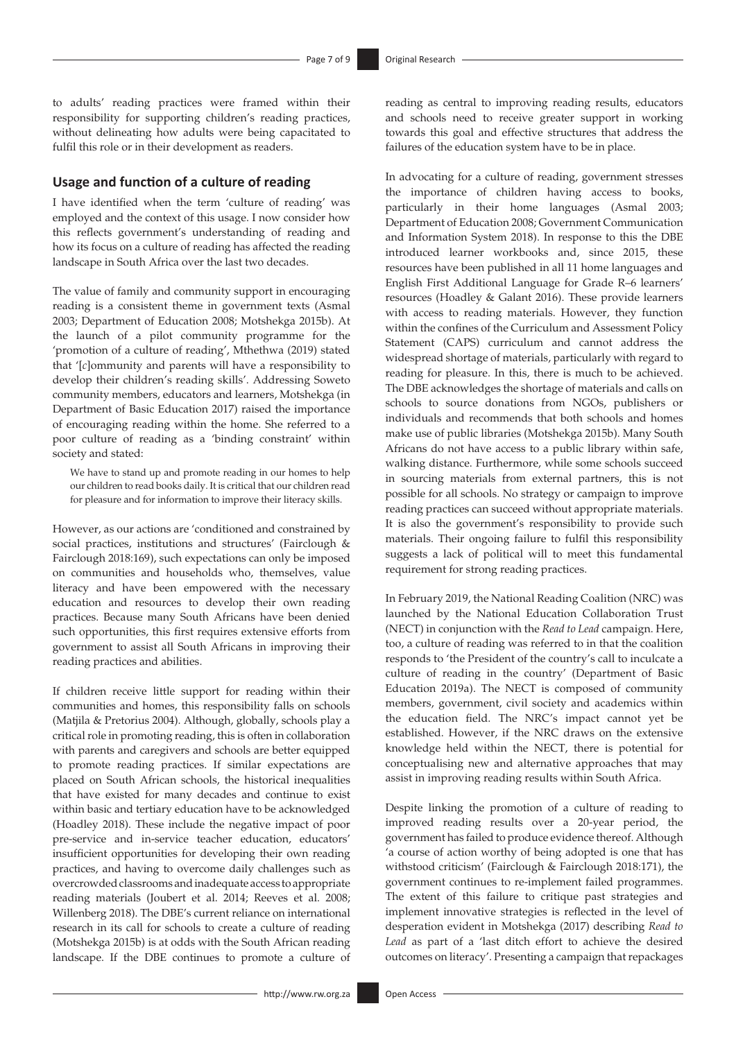to adults' reading practices were framed within their responsibility for supporting children's reading practices, without delineating how adults were being capacitated to fulfil this role or in their development as readers.

#### **Usage and function of a culture of reading**

I have identified when the term 'culture of reading' was employed and the context of this usage. I now consider how this reflects government's understanding of reading and how its focus on a culture of reading has affected the reading landscape in South Africa over the last two decades.

The value of family and community support in encouraging reading is a consistent theme in government texts (Asmal 2003; Department of Education 2008; Motshekga 2015b). At the launch of a pilot community programme for the 'promotion of a culture of reading', Mthethwa (2019) stated that '[*c*]ommunity and parents will have a responsibility to develop their children's reading skills'. Addressing Soweto community members, educators and learners, Motshekga (in Department of Basic Education 2017) raised the importance of encouraging reading within the home. She referred to a poor culture of reading as a 'binding constraint' within society and stated:

We have to stand up and promote reading in our homes to help our children to read books daily. It is critical that our children read for pleasure and for information to improve their literacy skills.

However, as our actions are 'conditioned and constrained by social practices, institutions and structures' (Fairclough & Fairclough 2018:169), such expectations can only be imposed on communities and households who, themselves, value literacy and have been empowered with the necessary education and resources to develop their own reading practices. Because many South Africans have been denied such opportunities, this first requires extensive efforts from government to assist all South Africans in improving their reading practices and abilities.

If children receive little support for reading within their communities and homes, this responsibility falls on schools (Matjila & Pretorius 2004). Although, globally, schools play a critical role in promoting reading, this is often in collaboration with parents and caregivers and schools are better equipped to promote reading practices. If similar expectations are placed on South African schools, the historical inequalities that have existed for many decades and continue to exist within basic and tertiary education have to be acknowledged (Hoadley 2018). These include the negative impact of poor pre-service and in-service teacher education, educators' insufficient opportunities for developing their own reading practices, and having to overcome daily challenges such as overcrowded classrooms and inadequate access to appropriate reading materials (Joubert et al. 2014; Reeves et al. 2008; Willenberg 2018). The DBE's current reliance on international research in its call for schools to create a culture of reading (Motshekga 2015b) is at odds with the South African reading landscape. If the DBE continues to promote a culture of reading as central to improving reading results, educators and schools need to receive greater support in working towards this goal and effective structures that address the failures of the education system have to be in place.

In advocating for a culture of reading, government stresses the importance of children having access to books, particularly in their home languages (Asmal 2003; Department of Education 2008; Government Communication and Information System 2018). In response to this the DBE introduced learner workbooks and, since 2015, these resources have been published in all 11 home languages and English First Additional Language for Grade R–6 learners' resources (Hoadley & Galant 2016). These provide learners with access to reading materials. However, they function within the confines of the Curriculum and Assessment Policy Statement (CAPS) curriculum and cannot address the widespread shortage of materials, particularly with regard to reading for pleasure. In this, there is much to be achieved. The DBE acknowledges the shortage of materials and calls on schools to source donations from NGOs, publishers or individuals and recommends that both schools and homes make use of public libraries (Motshekga 2015b). Many South Africans do not have access to a public library within safe, walking distance. Furthermore, while some schools succeed in sourcing materials from external partners, this is not possible for all schools. No strategy or campaign to improve reading practices can succeed without appropriate materials. It is also the government's responsibility to provide such materials. Their ongoing failure to fulfil this responsibility suggests a lack of political will to meet this fundamental requirement for strong reading practices.

In February 2019, the National Reading Coalition (NRC) was launched by the National Education Collaboration Trust (NECT) in conjunction with the *Read to Lead* campaign. Here, too, a culture of reading was referred to in that the coalition responds to 'the President of the country's call to inculcate a culture of reading in the country' (Department of Basic Education 2019a). The NECT is composed of community members, government, civil society and academics within the education field. The NRC's impact cannot yet be established. However, if the NRC draws on the extensive knowledge held within the NECT, there is potential for conceptualising new and alternative approaches that may assist in improving reading results within South Africa.

Despite linking the promotion of a culture of reading to improved reading results over a 20-year period, the government has failed to produce evidence thereof. Although 'a course of action worthy of being adopted is one that has withstood criticism' (Fairclough & Fairclough 2018:171), the government continues to re-implement failed programmes. The extent of this failure to critique past strategies and implement innovative strategies is reflected in the level of desperation evident in Motshekga (2017) describing *Read to Lead* as part of a 'last ditch effort to achieve the desired outcomes on literacy'. Presenting a campaign that repackages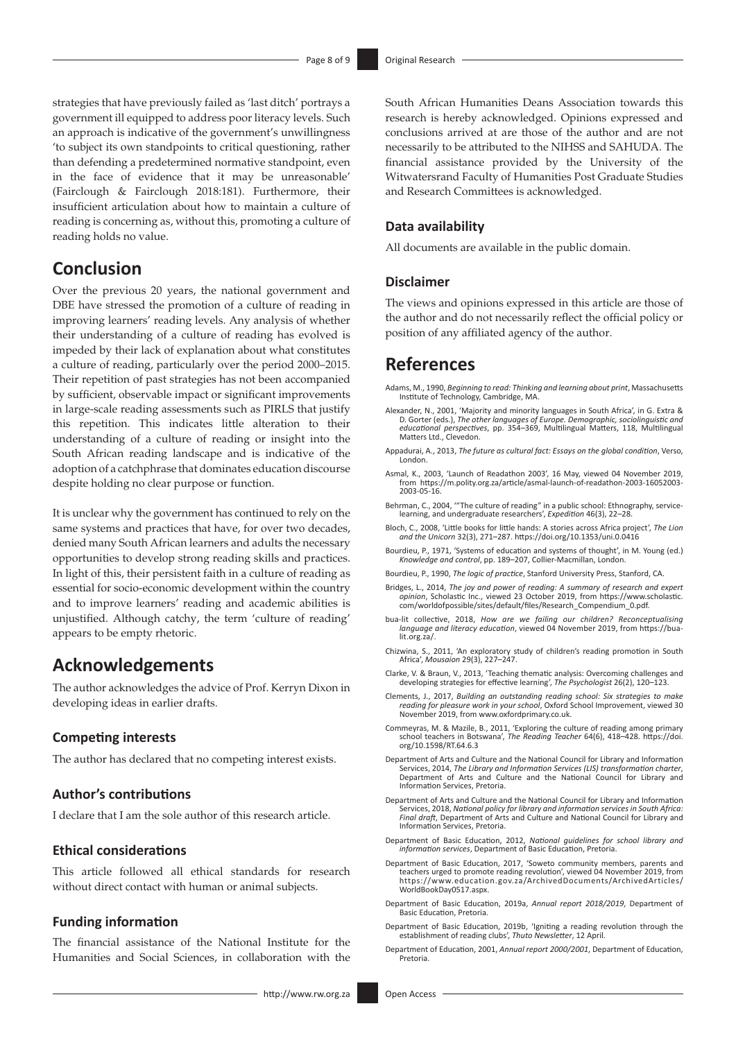strategies that have previously failed as 'last ditch' portrays a government ill equipped to address poor literacy levels. Such an approach is indicative of the government's unwillingness 'to subject its own standpoints to critical questioning, rather than defending a predetermined normative standpoint, even in the face of evidence that it may be unreasonable' (Fairclough & Fairclough 2018:181). Furthermore, their insufficient articulation about how to maintain a culture of reading is concerning as, without this, promoting a culture of reading holds no value.

## **Conclusion**

Over the previous 20 years, the national government and DBE have stressed the promotion of a culture of reading in improving learners' reading levels. Any analysis of whether their understanding of a culture of reading has evolved is impeded by their lack of explanation about what constitutes a culture of reading, particularly over the period 2000–2015. Their repetition of past strategies has not been accompanied by sufficient, observable impact or significant improvements in large-scale reading assessments such as PIRLS that justify this repetition. This indicates little alteration to their understanding of a culture of reading or insight into the South African reading landscape and is indicative of the adoption of a catchphrase that dominates education discourse despite holding no clear purpose or function.

It is unclear why the government has continued to rely on the same systems and practices that have, for over two decades, denied many South African learners and adults the necessary opportunities to develop strong reading skills and practices. In light of this, their persistent faith in a culture of reading as essential for socio-economic development within the country and to improve learners' reading and academic abilities is unjustified. Although catchy, the term 'culture of reading' appears to be empty rhetoric.

## **Acknowledgements**

The author acknowledges the advice of Prof. Kerryn Dixon in developing ideas in earlier drafts.

#### **Competing interests**

The author has declared that no competing interest exists.

#### **Author's contributions**

I declare that I am the sole author of this research article.

#### **Ethical considerations**

This article followed all ethical standards for research without direct contact with human or animal subjects.

#### **Funding information**

The financial assistance of the National Institute for the Humanities and Social Sciences, in collaboration with the South African Humanities Deans Association towards this research is hereby acknowledged. Opinions expressed and conclusions arrived at are those of the author and are not necessarily to be attributed to the NIHSS and SAHUDA. The financial assistance provided by the University of the Witwatersrand Faculty of Humanities Post Graduate Studies and Research Committees is acknowledged.

#### **Data availability**

All documents are available in the public domain.

#### **Disclaimer**

The views and opinions expressed in this article are those of the author and do not necessarily reflect the official policy or position of any affiliated agency of the author.

### **References**

- Adams, M., 1990, *Beginning to read: Thinking and learning about print*, Massachusetts Institute of Technology, Cambridge, MA.
- Alexander, N., 2001, 'Majority and minority languages in South Africa', in G. Extra & D. Gorter (eds.), *The other languages of Europe. Demographic, sociolinguistic and educational perspectives*, pp. 354–369, Multilingual Matters, 118, Multilingual Matters Ltd., Clevedon.
- Appadurai, A., 2013, *The future as cultural fact: Essays on the global condition*, Verso, London.
- Asmal, K., 2003, 'Launch of Readathon 2003', 16 May, viewed 04 November 2019, from [https://m.polity.org.za/article/asmal-launch-of-readathon-2003-16052003-](https://m.polity.org.za/article/asmal-launch-of-readathon-2003-16052003-2003-05-16) [2003-05-16.](https://m.polity.org.za/article/asmal-launch-of-readathon-2003-16052003-2003-05-16)
- Behrman, C., 2004, '"The culture of reading" in a public school: Ethnography, service-learning, and undergraduate researchers', *Expedition* 46(3), 22–28.
- Bloch, C., 2008, 'Little books for little hands: A stories across Africa project', *The Lion and the Unicorn* 32(3), 271–287.<https://doi.org/10.1353/uni.0.0416>
- Bourdieu, P., 1971, 'Systems of education and systems of thought', in M. Young (ed.) *Knowledge and control*, pp. 189–207, Collier-Macmillan, London.
- Bourdieu, P., 1990, *The logic of practice*, Stanford University Press, Stanford, CA.
- Bridges, L., 2014, *The joy and power of reading: A summary of research and expert opinion*, Scholastic Inc., viewed 23 October 2019, from [https://www.scholastic.](https://www.scholastic.com/worldofpossible/sites/default/files/Research_Compendium_0.pdf) [com/worldofpossible/sites/default/files/Research\\_Compendium\\_0.pdf.](https://www.scholastic.com/worldofpossible/sites/default/files/Research_Compendium_0.pdf)
- bua-lit collective, 2018, *How are we failing our children? Reconceptualising language and literacy education*, viewed 04 November 2019, from [https://bua](https://bua-lit.org.za/)[lit.org.za/](https://bua-lit.org.za/).
- Chizwina, S., 2011, 'An exploratory study of children's reading promotion in South Africa', *Mousaion* 29(3), 227–247.
- Clarke, V. & Braun, V., 2013, 'Teaching thematic analysis: Overcoming challenges and developing strategies for effective learning', *The Psychologist* 26(2), 120–123.
- Clements, J., 2017, *Building an outstanding reading school: Six strategies to make reading for pleasure work in your school*, Oxford School Improvement, viewed 30 November 2019, from [www.oxfordprimary.co.uk](http://www.oxfordprimary.co.uk).
- Commeyras, M. & Mazile, B., 2011, 'Exploring the culture of reading among primary school teachers in Botswana', *The Reading Teacher* 64(6), 418–428. [https://doi.](https://doi.org/10.1598/RT.64.6.3) [org/10.1598/RT.64.6.3](https://doi.org/10.1598/RT.64.6.3)
- Department of Arts and Culture and the National Council for Library and Information Services, 2014, *The Library and Information Services (LIS) transformation charter*, Department of Arts and Culture and the National Council for Library and Information Services, Pretoria.
- Department of Arts and Culture and the National Council for Library and Information Services, 2018, *National policy for library and information services in South Africa: Final draft*, Department of Arts and Culture and National Council for Library and Information Services, Pretoria.
- Department of Basic Education, 2012, *National guidelines for school library and information services*, Department of Basic Education, Pretoria.
- Department of Basic Education, 2017, 'Soweto community members, parents and teachers urged to promote reading revolution', viewed 04 November 2019, from [https://www.education.gov.za/ArchivedDocuments/ArchivedArticles/](https://www.education.gov.za/ArchivedDocuments/ArchivedArticles/WorldBookDay0517.aspx) [WorldBookDay0517.aspx](https://www.education.gov.za/ArchivedDocuments/ArchivedArticles/WorldBookDay0517.aspx).
- Department of Basic Education, 2019a, *Annual report 2018/2019*, Department of Basic Education, Pretoria.
- Department of Basic Education, 2019b, 'Igniting a reading revolution through the establishment of reading clubs', *Thuto Newsletter*, 12 April.
- Department of Education, 2001, *Annual report 2000/2001*, Department of Education, Pretoria.